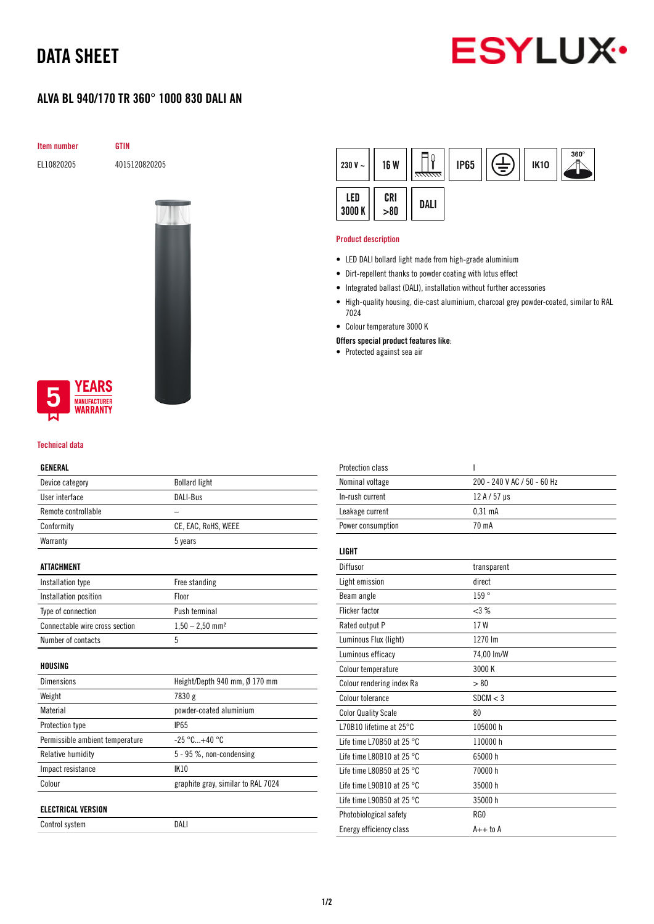## DATA SHEET



### ALVA BL 940/170 TR 360° 1000 830 DALI AN

Item number GTIN

EL10820205 4015120820205





### Technical data

#### GENERAL

| Device category                 | <b>Bollard light</b>               |  |
|---------------------------------|------------------------------------|--|
| User interface                  | DALI-Bus                           |  |
| Remote controllable             |                                    |  |
| Conformity                      | CE, EAC, RoHS, WEEE                |  |
| Warranty                        | 5 years                            |  |
|                                 |                                    |  |
| ATTACHMENT                      |                                    |  |
| Installation type               | Free standing                      |  |
| Installation position           | Floor                              |  |
| Type of connection              | Push terminal                      |  |
| Connectable wire cross section  | $1,50 - 2,50$ mm <sup>2</sup>      |  |
| Number of contacts              | 5                                  |  |
|                                 |                                    |  |
| HOUSING                         |                                    |  |
| Dimensions                      | Height/Depth 940 mm, Ø 170 mm      |  |
| Weight                          | 7830 g                             |  |
| Material                        | powder-coated aluminium            |  |
| Protection type                 | <b>IP65</b>                        |  |
| Permissible ambient temperature | $-25 °C+40 °C$                     |  |
| <b>Relative humidity</b>        | 5 - 95 %, non-condensing           |  |
| Impact resistance               | IK10                               |  |
| Colour                          | graphite gray, similar to RAL 7024 |  |
|                                 |                                    |  |
| <b>ELECTRICAL VERSION</b>       |                                    |  |
| Control system                  | DALI                               |  |

| 230 V $\sim$ | 16 W        | 7777777. | <b>IP65</b> | È | <b>IK10</b> | $360^\circ$ |
|--------------|-------------|----------|-------------|---|-------------|-------------|
| LED<br>3000K | CRI<br>> 80 | DALI     |             |   |             |             |

#### Product description

- LED DALI bollard light made from high-grade aluminium
- Dirt-repellent thanks to powder coating with lotus effect
- Integrated ballast (DALI), installation without further accessories
- High-quality housing, die-cast aluminium, charcoal grey powder-coated, similar to RAL 7024
- Colour temperature 3000 K
- Offers special product features like:
- Protected against sea air

| <b>Protection class</b>             | I                           |
|-------------------------------------|-----------------------------|
| Nominal voltage                     | 200 - 240 V AC / 50 - 60 Hz |
| In-rush current                     | 12 A / 57 µs                |
| Leakage current                     | $0,31$ mA                   |
| Power consumption                   | 70 mA                       |
| LIGHT                               |                             |
| Diffusor                            | transparent                 |
| Light emission                      | direct                      |
| Beam angle                          | 159°                        |
| <b>Flicker factor</b>               | <3%                         |
| Rated output P                      | 17 W                        |
| Luminous Flux (light)               | 1270 lm                     |
| Luminous efficacy                   | 74,00 lm/W                  |
| Colour temperature                  | 3000 K                      |
| Colour rendering index Ra           | > 80                        |
| Colour tolerance                    | SDCM < 3                    |
| <b>Color Quality Scale</b>          | 80                          |
| L70B10 lifetime at 25°C             | 105000 h                    |
| Life time L70B50 at 25 $^{\circ}$ C | 110000 h                    |
| Life time L80B10 at 25 $^{\circ}$ C | 65000h                      |
| Life time L80B50 at 25 $^{\circ}$ C | 70000 h                     |
| Life time L90B10 at 25 $^{\circ}$ C | 35000h                      |
| Life time L90B50 at 25 $^{\circ}$ C | 35000 h                     |
| Photobiological safety              | RG <sub>0</sub>             |
| Energy efficiency class             | $A++$ to $A$                |
|                                     |                             |